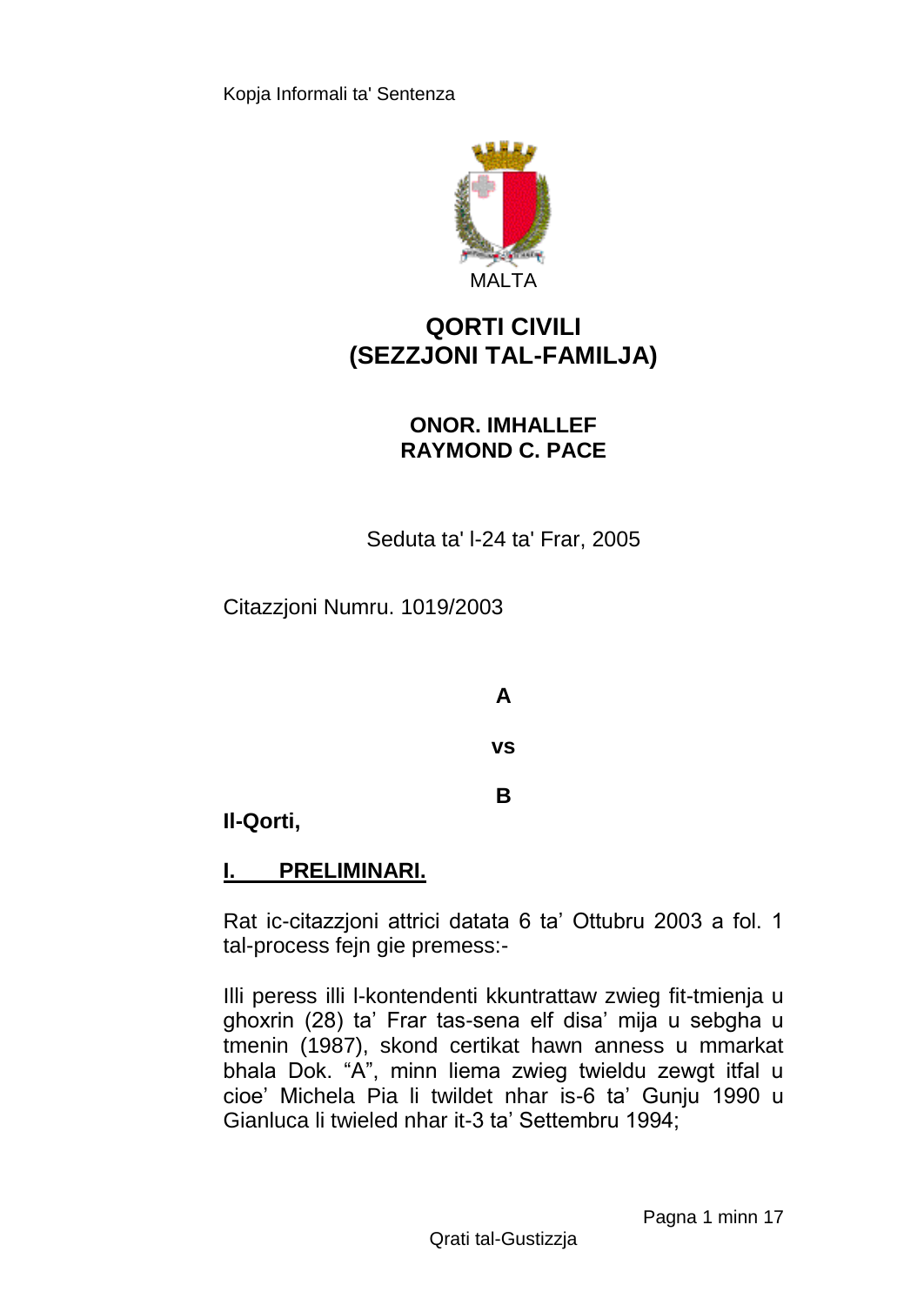

# **QORTI CIVILI (SEZZJONI TAL-FAMILJA)**

## **ONOR. IMHALLEF RAYMOND C. PACE**

Seduta ta' l-24 ta' Frar, 2005

Citazzjoni Numru. 1019/2003

**A vs**

**B**

**Il-Qorti,**

# **I. PRELIMINARI.**

Rat ic-citazzjoni attrici datata 6 ta' Ottubru 2003 a fol. 1 tal-process fejn gie premess:-

Illi peress illi l-kontendenti kkuntrattaw zwieg fit-tmienja u ghoxrin (28) ta' Frar tas-sena elf disa' mija u sebgha u tmenin (1987), skond certikat hawn anness u mmarkat bhala Dok. "A", minn liema zwieg twieldu zewgt itfal u cioe' Michela Pia li twildet nhar is-6 ta' Gunju 1990 u Gianluca li twieled nhar it-3 ta' Settembru 1994;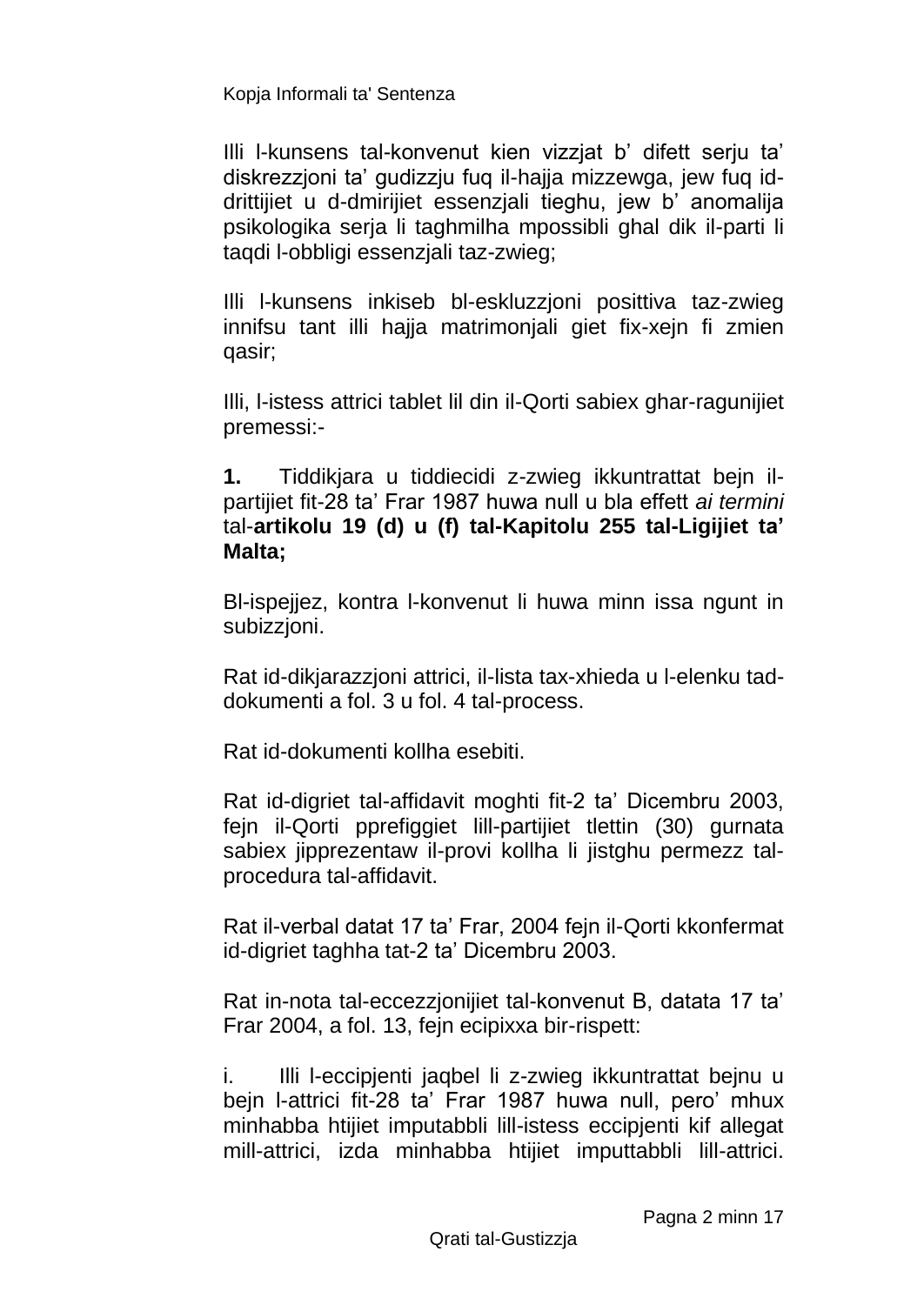Illi l-kunsens tal-konvenut kien vizzjat b' difett serju ta' diskrezzjoni ta' gudizzju fuq il-hajja mizzewga, jew fuq iddrittijiet u d-dmirijiet essenzjali tieghu, jew b' anomalija psikologika serja li taghmilha mpossibli ghal dik il-parti li taqdi l-obbligi essenzjali taz-zwieg;

Illi l-kunsens inkiseb bl-eskluzzjoni posittiva taz-zwieg innifsu tant illi hajja matrimonjali giet fix-xejn fi zmien qasir;

Illi, l-istess attrici tablet lil din il-Qorti sabiex ghar-ragunijiet premessi:-

**1.** Tiddikjara u tiddiecidi z-zwieg ikkuntrattat bejn ilpartijiet fit-28 ta' Frar 1987 huwa null u bla effett *ai termini*  tal-**artikolu 19 (d) u (f) tal-Kapitolu 255 tal-Ligijiet ta' Malta;** 

Bl-ispejjez, kontra l-konvenut li huwa minn issa ngunt in subizzjoni.

Rat id-dikjarazzjoni attrici, il-lista tax-xhieda u l-elenku taddokumenti a fol. 3 u fol. 4 tal-process.

Rat id-dokumenti kollha esebiti.

Rat id-digriet tal-affidavit moghti fit-2 ta' Dicembru 2003, fejn il-Qorti pprefiggiet lill-partijiet tlettin (30) gurnata sabiex jipprezentaw il-provi kollha li jistghu permezz talprocedura tal-affidavit.

Rat il-verbal datat 17 ta' Frar, 2004 fejn il-Qorti kkonfermat id-digriet taghha tat-2 ta' Dicembru 2003.

Rat in-nota tal-eccezzjonijiet tal-konvenut B, datata 17 ta' Frar 2004, a fol. 13, fejn ecipixxa bir-rispett:

i. Illi l-eccipjenti jaqbel li z-zwieg ikkuntrattat bejnu u bejn l-attrici fit-28 ta' Frar 1987 huwa null, pero' mhux minhabba htijiet imputabbli lill-istess eccipjenti kif allegat mill-attrici, izda minhabba htijiet imputtabbli lill-attrici.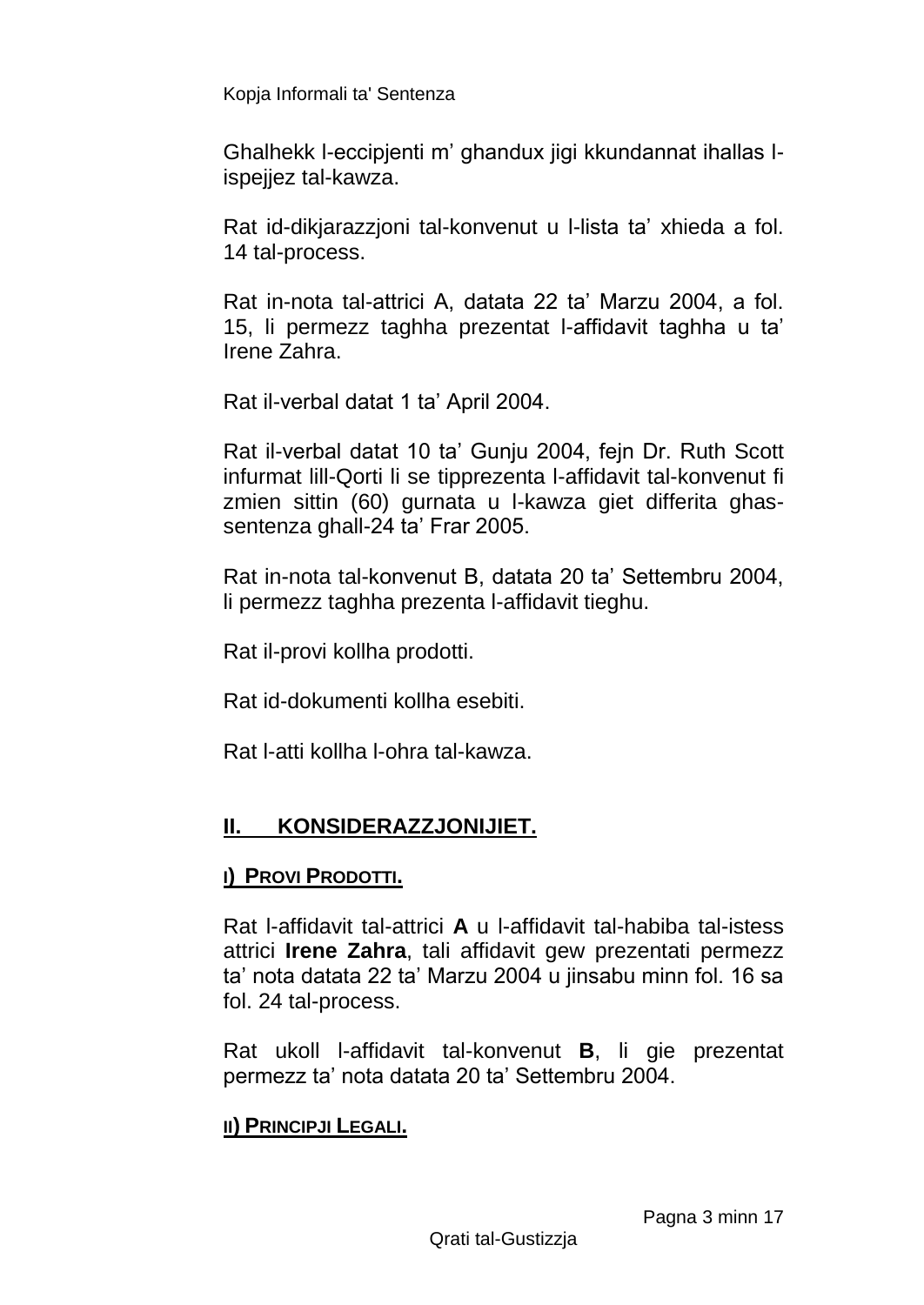Ghalhekk l-eccipjenti m' ghandux jigi kkundannat ihallas lispejjez tal-kawza.

Rat id-dikjarazzjoni tal-konvenut u l-lista ta' xhieda a fol. 14 tal-process.

Rat in-nota tal-attrici A, datata 22 ta' Marzu 2004, a fol. 15, li permezz taghha prezentat l-affidavit taghha u ta' Irene Zahra.

Rat il-verbal datat 1 ta' April 2004.

Rat il-verbal datat 10 ta' Gunju 2004, fejn Dr. Ruth Scott infurmat lill-Qorti li se tipprezenta l-affidavit tal-konvenut fi zmien sittin (60) gurnata u l-kawza giet differita ghassentenza ghall-24 ta' Frar 2005.

Rat in-nota tal-konvenut B, datata 20 ta' Settembru 2004, li permezz taghha prezenta l-affidavit tieghu.

Rat il-provi kollha prodotti.

Rat id-dokumenti kollha esebiti.

Rat l-atti kollha l-ohra tal-kawza.

# **II. KONSIDERAZZJONIJIET.**

### **I) PROVI PRODOTTI.**

Rat l-affidavit tal-attrici **A** u l-affidavit tal-habiba tal-istess attrici **Irene Zahra**, tali affidavit gew prezentati permezz ta' nota datata 22 ta' Marzu 2004 u jinsabu minn fol. 16 sa fol. 24 tal-process.

Rat ukoll l-affidavit tal-konvenut **B**, li gie prezentat permezz ta' nota datata 20 ta' Settembru 2004.

### **II) PRINCIPJI LEGALI.**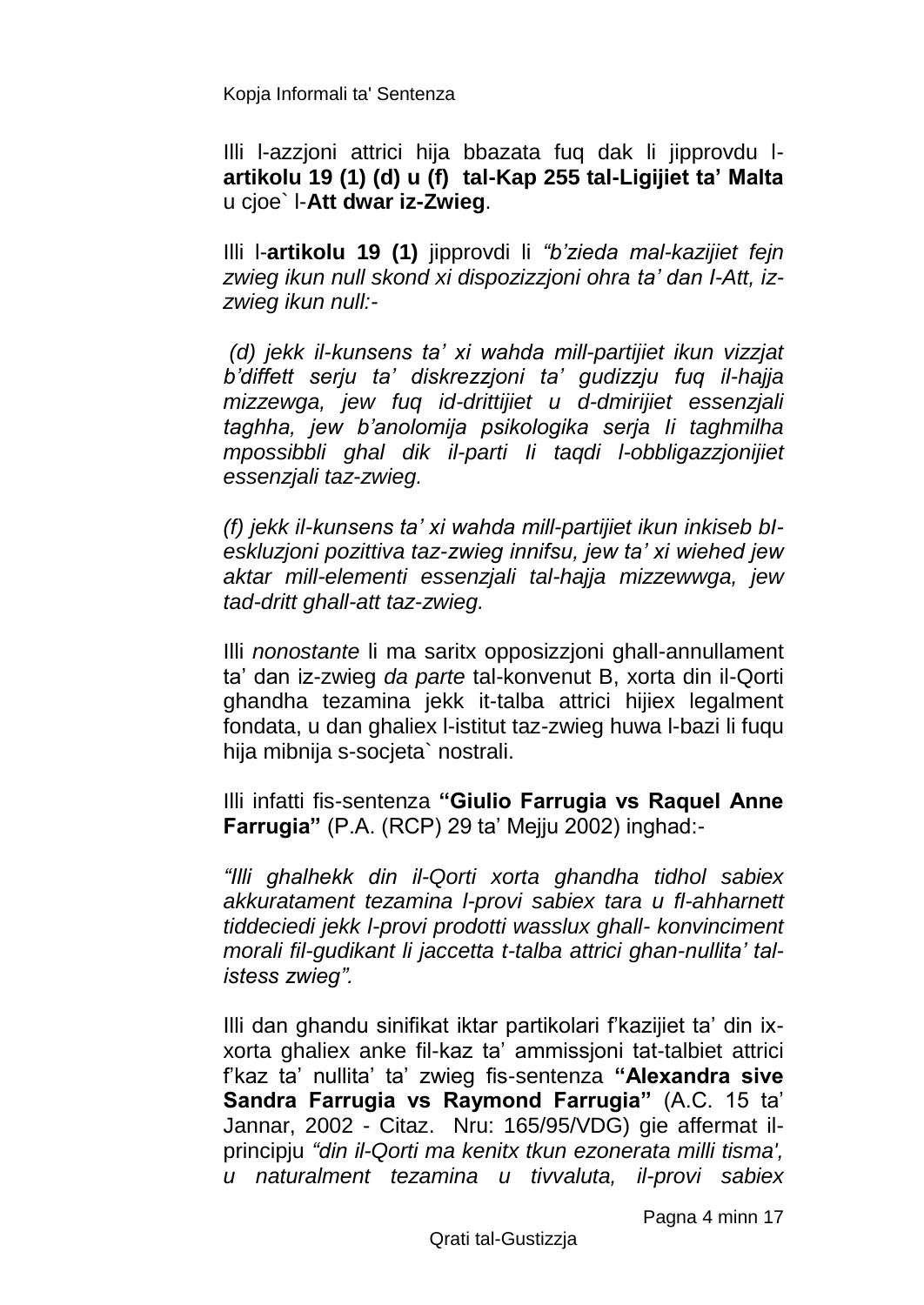Illi l-azzjoni attrici hija bbazata fuq dak li jipprovdu l**artikolu 19 (1) (d) u (f) tal-Kap 255 tal-Ligijiet ta' Malta**  u cjoe` l-**Att dwar iz-Zwieg**.

Illi l-**artikolu 19 (1)** jipprovdi li *"b'zieda mal-kazijiet fejn zwieg ikun null skond xi dispozizzjoni ohra ta' dan I-Att, izzwieg ikun null:-*

*(d) jekk il-kunsens ta' xi wahda mill-partijiet ikun vizzjat b'diffett serju ta' diskrezzjoni ta' gudizzju fuq il-hajja mizzewga, jew fuq id-drittijiet u d-dmirijiet essenzjali taghha, jew b'anolomija psikologika serja Ii taghmilha mpossibbli ghal dik il-parti Ii taqdi l-obbligazzjonijiet essenzjali taz-zwieg.*

*(f) jekk il-kunsens ta' xi wahda mill-partijiet ikun inkiseb bIeskluzjoni pozittiva taz-zwieg innifsu, jew ta' xi wiehed jew aktar mill-elementi essenzjali tal-hajja mizzewwga, jew tad-dritt ghall-att taz-zwieg.*

Illi *nonostante* li ma saritx opposizzjoni ghall-annullament ta' dan iz-zwieg *da parte* tal-konvenut B, xorta din il-Qorti ghandha tezamina jekk it-talba attrici hijiex legalment fondata, u dan ghaliex l-istitut taz-zwieg huwa l-bazi li fuqu hija mibnija s-socjeta` nostrali.

Illi infatti fis-sentenza **"Giulio Farrugia vs Raquel Anne Farrugia"** (P.A. (RCP) 29 ta' Mejju 2002) inghad:-

*"Illi ghalhekk din il-Qorti xorta ghandha tidhol sabiex akkuratament tezamina l-provi sabiex tara u fl-ahharnett tiddeciedi jekk l-provi prodotti wasslux ghall- konvinciment morali fil-gudikant li jaccetta t-talba attrici ghan-nullita' talistess zwieg".*

Illi dan ghandu sinifikat iktar partikolari f'kazijiet ta' din ixxorta ghaliex anke fil-kaz ta' ammissjoni tat-talbiet attrici f'kaz ta' nullita' ta' zwieg fis-sentenza **"Alexandra sive Sandra Farrugia vs Raymond Farrugia"** (A.C. 15 ta' Jannar, 2002 - Citaz. Nru: 165/95/VDG) gie affermat ilprincipju *"din il-Qorti ma kenitx tkun ezonerata milli tisma', u naturalment tezamina u tivvaluta, il-provi sabiex*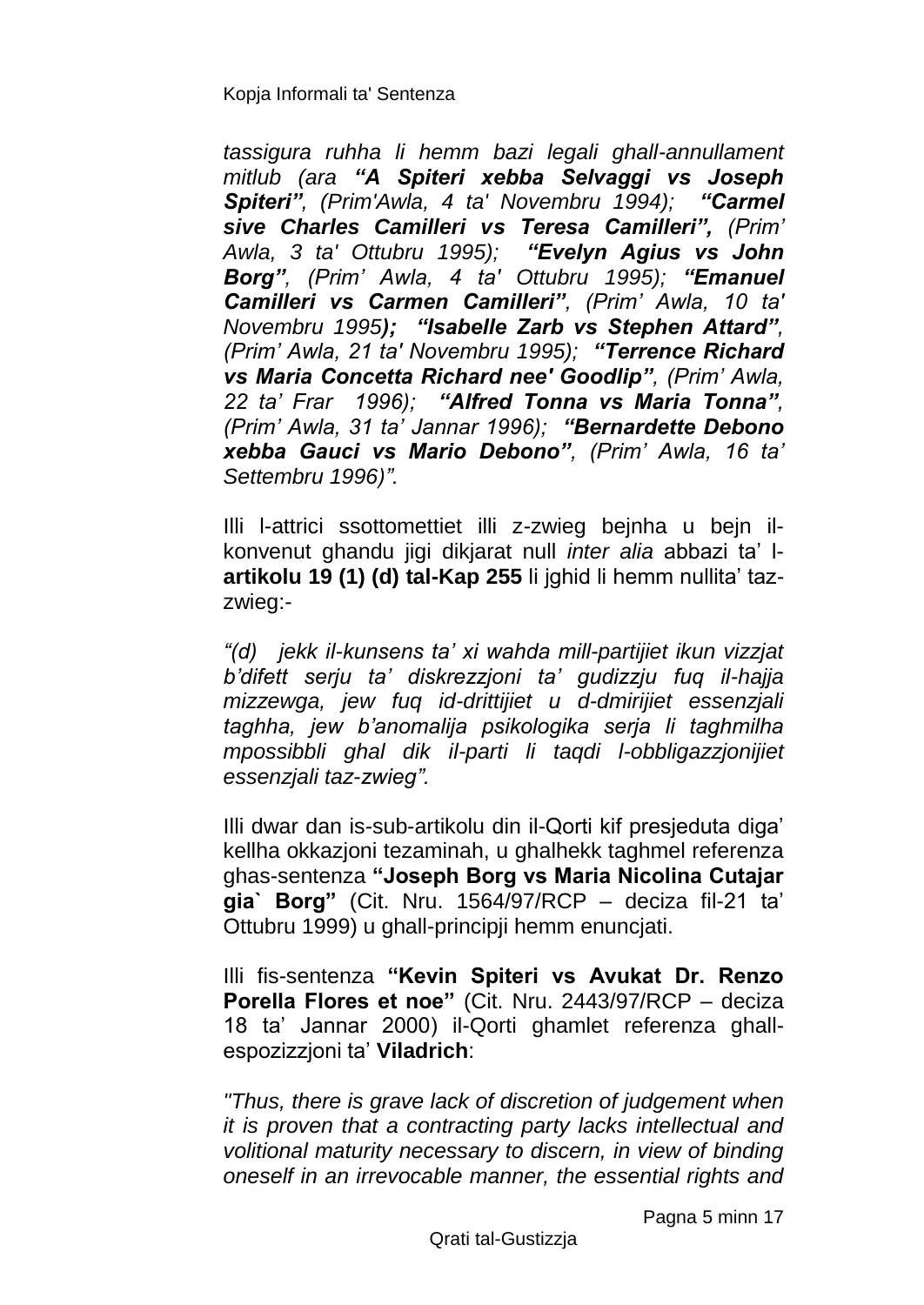*tassigura ruhha li hemm bazi legali ghall-annullament mitlub (ara "A Spiteri xebba Selvaggi vs Joseph Spiteri", (Prim'Awla, 4 ta' Novembru 1994); "Carmel sive Charles Camilleri vs Teresa Camilleri", (Prim' Awla, 3 ta' Ottubru 1995); "Evelyn Agius vs John Borg", (Prim' Awla, 4 ta' Ottubru 1995); "Emanuel Camilleri vs Carmen Camilleri", (Prim' Awla, 10 ta' Novembru 1995); "Isabelle Zarb vs Stephen Attard", (Prim' Awla, 21 ta' Novembru 1995); "Terrence Richard vs Maria Concetta Richard nee' Goodlip", (Prim' Awla, 22 ta' Frar 1996); "Alfred Tonna vs Maria Tonna", (Prim' Awla, 31 ta' Jannar 1996); "Bernardette Debono xebba Gauci vs Mario Debono", (Prim' Awla, 16 ta' Settembru 1996)".*

Illi l-attrici ssottomettiet illi z-zwieg bejnha u bejn ilkonvenut ghandu jigi dikjarat null *inter alia* abbazi ta' l**artikolu 19 (1) (d) tal-Kap 255** li jghid li hemm nullita' tazzwieg:-

*"(d) jekk il-kunsens ta' xi wahda mill-partijiet ikun vizzjat b'difett serju ta' diskrezzjoni ta' gudizzju fuq il-hajja mizzewga, jew fuq id-drittijiet u d-dmirijiet essenzjali taghha, jew b'anomalija psikologika serja li taghmilha mpossibbli ghal dik il-parti li taqdi l-obbligazzjonijiet essenzjali taz-zwieg".*

Illi dwar dan is-sub-artikolu din il-Qorti kif presjeduta diga' kellha okkazjoni tezaminah, u ghalhekk taghmel referenza ghas-sentenza **"Joseph Borg vs Maria Nicolina Cutajar gia` Borg"** (Cit. Nru. 1564/97/RCP – deciza fil-21 ta' Ottubru 1999) u ghall-principji hemm enuncjati.

Illi fis-sentenza **"Kevin Spiteri vs Avukat Dr. Renzo Porella Flores et noe"** (Cit. Nru. 2443/97/RCP – deciza 18 ta' Jannar 2000) il-Qorti ghamlet referenza ghallespozizzjoni ta' **Viladrich**:

*"Thus, there is grave lack of discretion of judgement when it is proven that a contracting party lacks intellectual and volitional maturity necessary to discern, in view of binding oneself in an irrevocable manner, the essential rights and*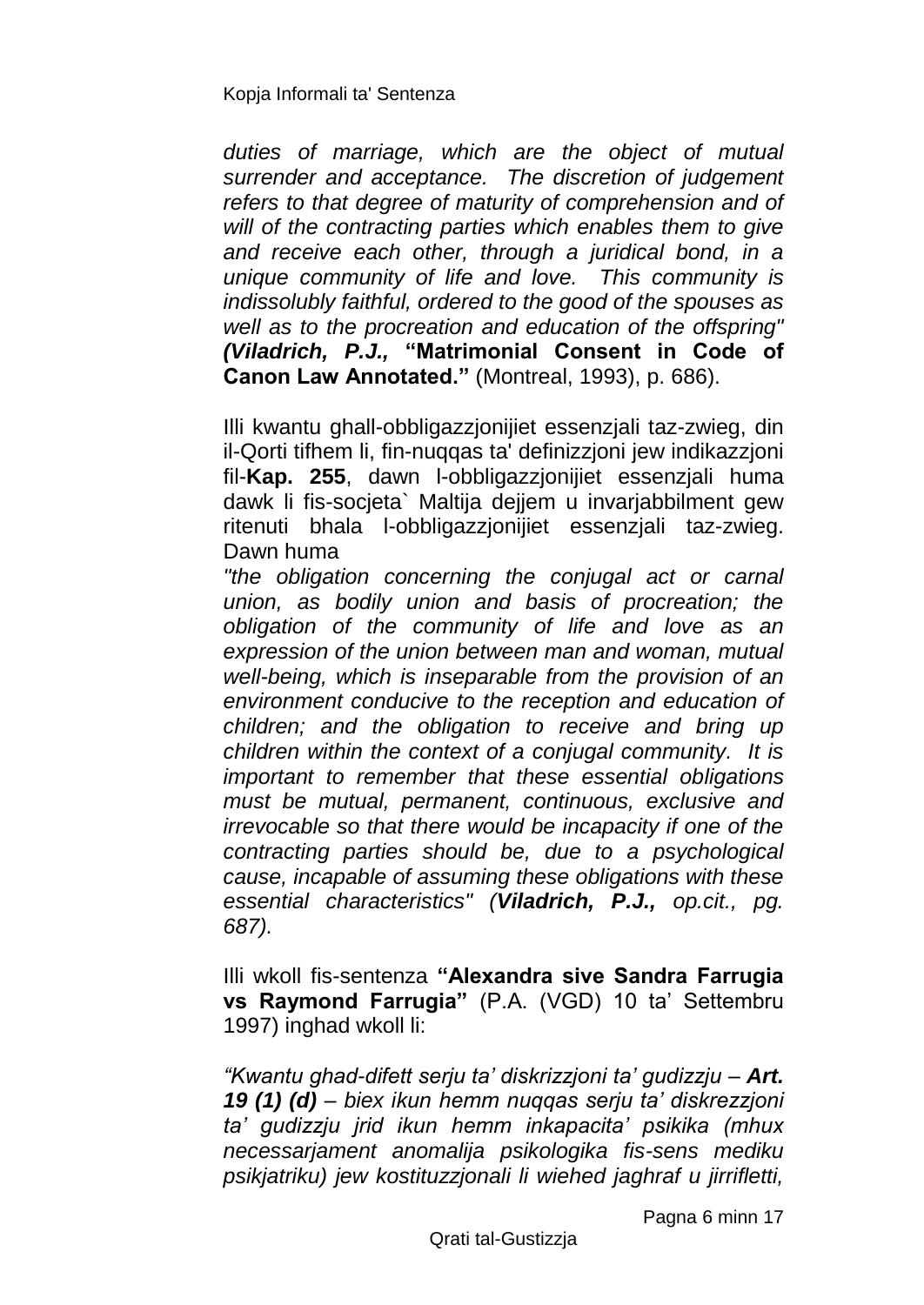*duties of marriage, which are the object of mutual surrender and acceptance. The discretion of judgement refers to that degree of maturity of comprehension and of will of the contracting parties which enables them to give and receive each other, through a juridical bond, in a unique community of life and love. This community is indissolubly faithful, ordered to the good of the spouses as well as to the procreation and education of the offspring" (Viladrich, P.J.,* **"Matrimonial Consent in Code of Canon Law Annotated."** (Montreal, 1993), p. 686).

Illi kwantu ghall-obbligazzjonijiet essenzjali taz-zwieg, din il-Qorti tifhem li, fin-nuqqas ta' definizzjoni jew indikazzjoni fil-**Kap. 255**, dawn l-obbligazzjonijiet essenzjali huma dawk li fis-socjeta` Maltija dejjem u invarjabbilment gew ritenuti bhala l-obbligazzjonijiet essenzjali taz-zwieg. Dawn huma

*"the obligation concerning the conjugal act or carnal union, as bodily union and basis of procreation; the obligation of the community of life and love as an expression of the union between man and woman, mutual well-being, which is inseparable from the provision of an environment conducive to the reception and education of children; and the obligation to receive and bring up children within the context of a conjugal community. It is important to remember that these essential obligations must be mutual, permanent, continuous, exclusive and irrevocable so that there would be incapacity if one of the contracting parties should be, due to a psychological cause, incapable of assuming these obligations with these essential characteristics" (Viladrich, P.J., op.cit., pg. 687).*

Illi wkoll fis-sentenza **"Alexandra sive Sandra Farrugia vs Raymond Farrugia"** (P.A. (VGD) 10 ta' Settembru 1997) inghad wkoll li:

*"Kwantu ghad-difett serju ta' diskrizzjoni ta' gudizzju – Art. 19 (1) (d) – biex ikun hemm nuqqas serju ta' diskrezzjoni ta' gudizzju jrid ikun hemm inkapacita' psikika (mhux necessarjament anomalija psikologika fis-sens mediku psikjatriku) jew kostituzzjonali li wiehed jaghraf u jirrifletti,* 

Pagna 6 minn 17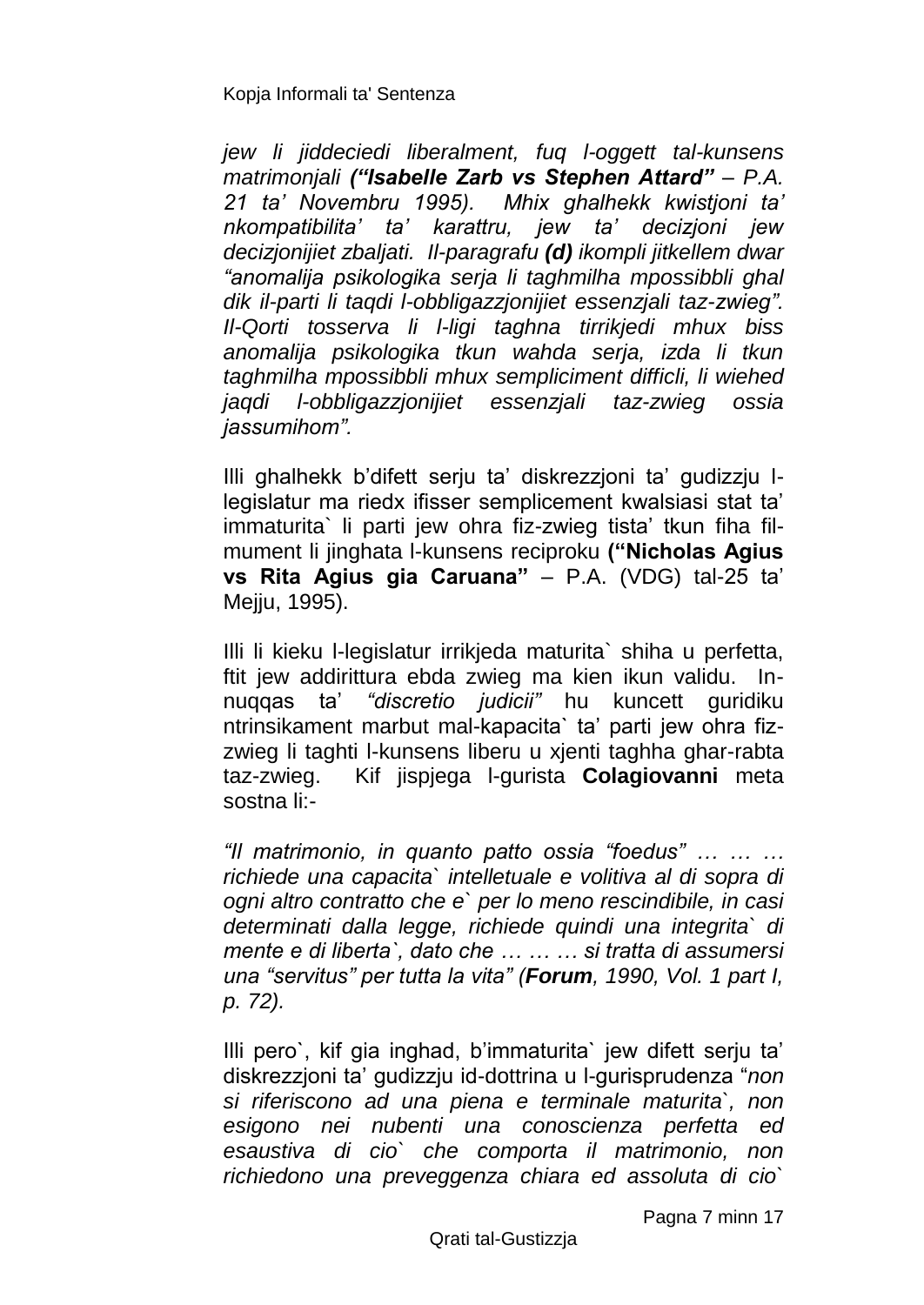*jew li jiddeciedi liberalment, fuq l-oggett tal-kunsens matrimonjali ("Isabelle Zarb vs Stephen Attard" – P.A. 21 ta' Novembru 1995). Mhix ghalhekk kwistjoni ta' nkompatibilita' ta' karattru, jew ta' decizjoni jew decizjonijiet zbaljati. Il-paragrafu (d) ikompli jitkellem dwar "anomalija psikologika serja li taghmilha mpossibbli ghal dik il-parti li taqdi l-obbligazzjonijiet essenzjali taz-zwieg". Il-Qorti tosserva li l-ligi taghna tirrikjedi mhux biss anomalija psikologika tkun wahda serja, izda li tkun taghmilha mpossibbli mhux sempliciment difficli, li wiehed jaqdi l-obbligazzjonijiet essenzjali taz-zwieg ossia jassumihom".*

Illi ghalhekk b'difett serju ta' diskrezzjoni ta' gudizzju llegislatur ma riedx ifisser semplicement kwalsiasi stat ta' immaturita` li parti jew ohra fiz-zwieg tista' tkun fiha filmument li jinghata l-kunsens reciproku **("Nicholas Agius vs Rita Agius gia Caruana"** – P.A. (VDG) tal-25 ta' Meiju, 1995).

Illi li kieku l-legislatur irrikjeda maturita` shiha u perfetta, ftit jew addirittura ebda zwieg ma kien ikun validu. Innuqqas ta' *"discretio judicii"* hu kuncett guridiku ntrinsikament marbut mal-kapacita` ta' parti jew ohra fizzwieg li taghti l-kunsens liberu u xjenti taghha ghar-rabta taz-zwieg. Kif jispjega l-gurista **Colagiovanni** meta sostna li:-

*"Il matrimonio, in quanto patto ossia "foedus" … … … richiede una capacita` intelletuale e volitiva al di sopra di ogni altro contratto che e` per lo meno rescindibile, in casi determinati dalla legge, richiede quindi una integrita` di mente e di liberta`, dato che … … … si tratta di assumersi una "servitus" per tutta la vita" (Forum, 1990, Vol. 1 part I, p. 72).*

Illi pero`, kif gia inghad, b'immaturita` jew difett serju ta' diskrezzjoni ta' gudizzju id-dottrina u l-gurisprudenza "*non si riferiscono ad una piena e terminale maturita`, non esigono nei nubenti una conoscienza perfetta ed esaustiva di cio` che comporta il matrimonio, non richiedono una preveggenza chiara ed assoluta di cio`* 

Pagna 7 minn 17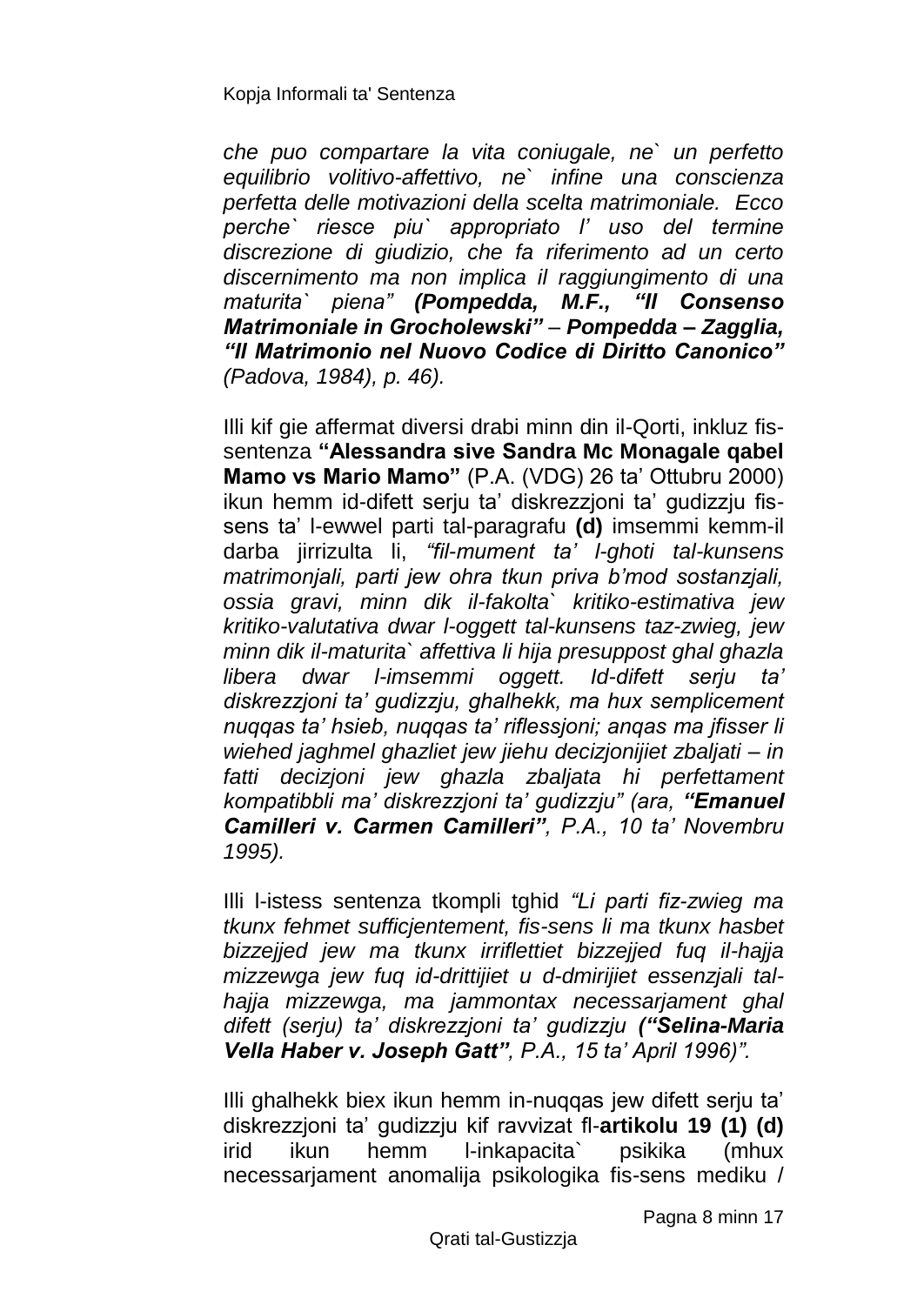*che puo compartare la vita coniugale, ne` un perfetto equilibrio volitivo-affettivo, ne` infine una conscienza perfetta delle motivazioni della scelta matrimoniale. Ecco perche` riesce piu` appropriato l' uso del termine discrezione di giudizio, che fa riferimento ad un certo discernimento ma non implica il raggiungimento di una maturita` piena" (Pompedda, M.F., "Il Consenso Matrimoniale in Grocholewski" – Pompedda – Zagglia, "Il Matrimonio nel Nuovo Codice di Diritto Canonico" (Padova, 1984), p. 46).* 

Illi kif gie affermat diversi drabi minn din il-Qorti, inkluz fissentenza **"Alessandra sive Sandra Mc Monagale qabel Mamo vs Mario Mamo"** (P.A. (VDG) 26 ta' Ottubru 2000) ikun hemm id-difett serju ta' diskrezzjoni ta' gudizzju fissens ta' l-ewwel parti tal-paragrafu **(d)** imsemmi kemm-il darba jirrizulta li, *"fil-mument ta' l-ghoti tal-kunsens matrimonjali, parti jew ohra tkun priva b'mod sostanzjali, ossia gravi, minn dik il-fakolta` kritiko-estimativa jew kritiko-valutativa dwar l-oggett tal-kunsens taz-zwieg, jew minn dik il-maturita` affettiva li hija presuppost ghal ghazla libera dwar l-imsemmi oggett. Id-difett serju ta' diskrezzjoni ta' gudizzju, ghalhekk, ma hux semplicement nuqqas ta' hsieb, nuqqas ta' riflessjoni; anqas ma jfisser li wiehed jaghmel ghazliet jew jiehu decizjonijiet zbaljati – in fatti decizjoni jew ghazla zbaljata hi perfettament kompatibbli ma' diskrezzjoni ta' gudizzju" (ara, "Emanuel Camilleri v. Carmen Camilleri", P.A., 10 ta' Novembru 1995).* 

Illi l-istess sentenza tkompli tghid *"Li parti fiz-zwieg ma tkunx fehmet sufficjentement, fis-sens li ma tkunx hasbet bizzejjed jew ma tkunx irriflettiet bizzejjed fuq il-hajja mizzewga jew fuq id-drittijiet u d-dmirijiet essenzjali talhajja mizzewga, ma jammontax necessarjament ghal difett (serju) ta' diskrezzjoni ta' gudizzju ("Selina-Maria Vella Haber v. Joseph Gatt", P.A., 15 ta' April 1996)".*

Illi ghalhekk biex ikun hemm in-nuqqas jew difett serju ta' diskrezzjoni ta' gudizzju kif ravvizat fl-**artikolu 19 (1) (d)** irid ikun hemm l-inkapacita` psikika (mhux necessarjament anomalija psikologika fis-sens mediku /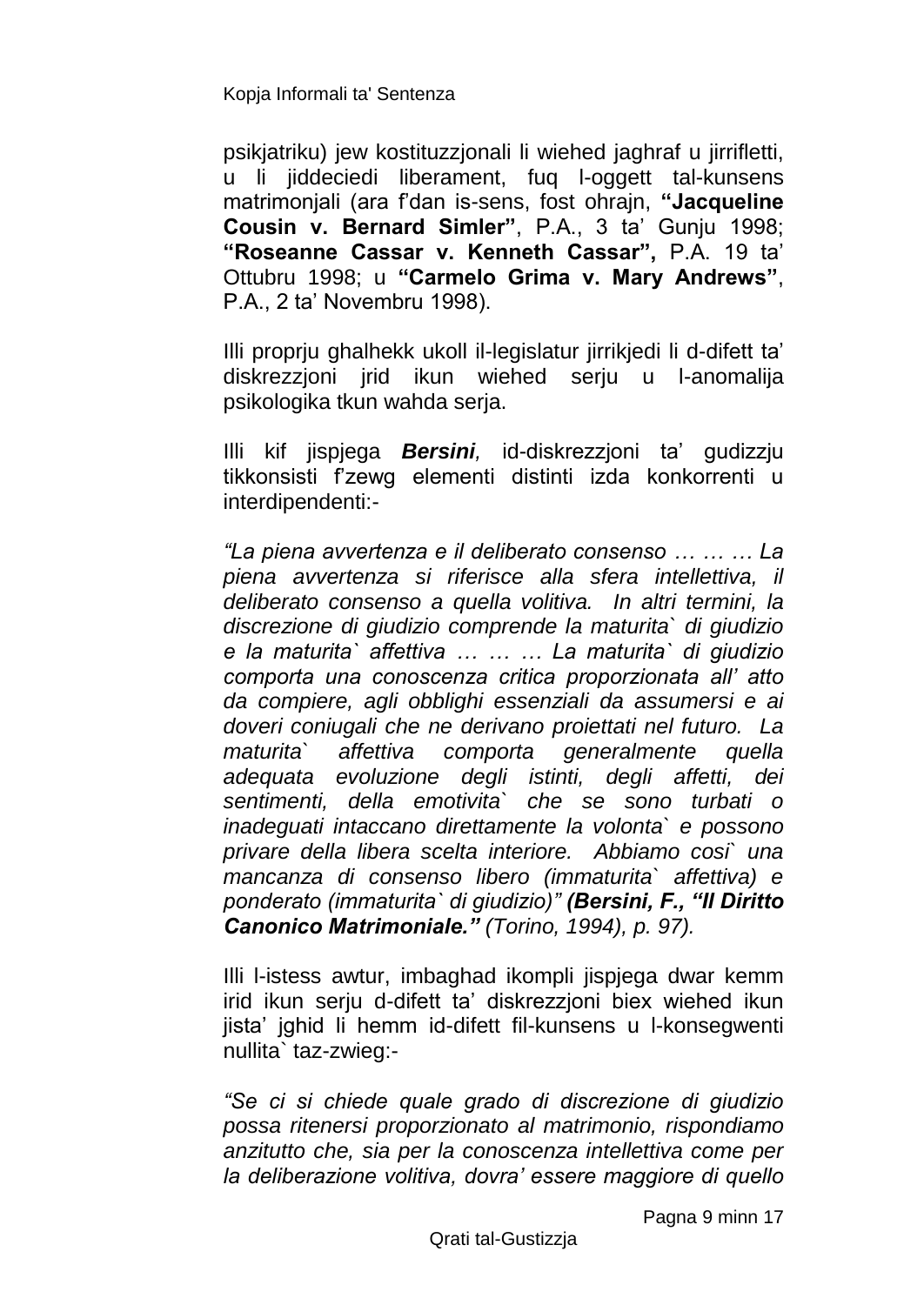psikjatriku) jew kostituzzjonali li wiehed jaghraf u jirrifletti, u li jiddeciedi liberament, fuq l-oggett tal-kunsens matrimonjali (ara f'dan is-sens, fost ohrajn, **"Jacqueline Cousin v. Bernard Simler"**, P.A., 3 ta' Gunju 1998; **"Roseanne Cassar v. Kenneth Cassar",** P.A. 19 ta' Ottubru 1998; u **"Carmelo Grima v. Mary Andrews"**, P.A., 2 ta' Novembru 1998).

Illi proprju ghalhekk ukoll il-legislatur jirrikjedi li d-difett ta' diskrezzjoni jrid ikun wiehed serju u l-anomalija psikologika tkun wahda serja.

Illi kif jispjega *Bersini,* id-diskrezzjoni ta' gudizzju tikkonsisti f'zewg elementi distinti izda konkorrenti u interdipendenti:-

*"La piena avvertenza e il deliberato consenso … … … La piena avvertenza si riferisce alla sfera intellettiva, il deliberato consenso a quella volitiva. In altri termini, la discrezione di giudizio comprende la maturita` di giudizio e la maturita` affettiva … … … La maturita` di giudizio comporta una conoscenza critica proporzionata all' atto da compiere, agli obblighi essenziali da assumersi e ai doveri coniugali che ne derivano proiettati nel futuro. La maturita` affettiva comporta generalmente quella adequata evoluzione degli istinti, degli affetti, dei sentimenti, della emotivita` che se sono turbati o inadeguati intaccano direttamente la volonta` e possono privare della libera scelta interiore. Abbiamo cosi` una mancanza di consenso libero (immaturita` affettiva) e ponderato (immaturita` di giudizio)" (Bersini, F., "Il Diritto Canonico Matrimoniale." (Torino, 1994), p. 97).*

Illi l-istess awtur, imbaghad ikompli jispjega dwar kemm irid ikun serju d-difett ta' diskrezzjoni biex wiehed ikun jista' jghid li hemm id-difett fil-kunsens u l-konsegwenti nullita` taz-zwieg:-

*"Se ci si chiede quale grado di discrezione di giudizio possa ritenersi proporzionato al matrimonio, rispondiamo anzitutto che, sia per la conoscenza intellettiva come per la deliberazione volitiva, dovra' essere maggiore di quello*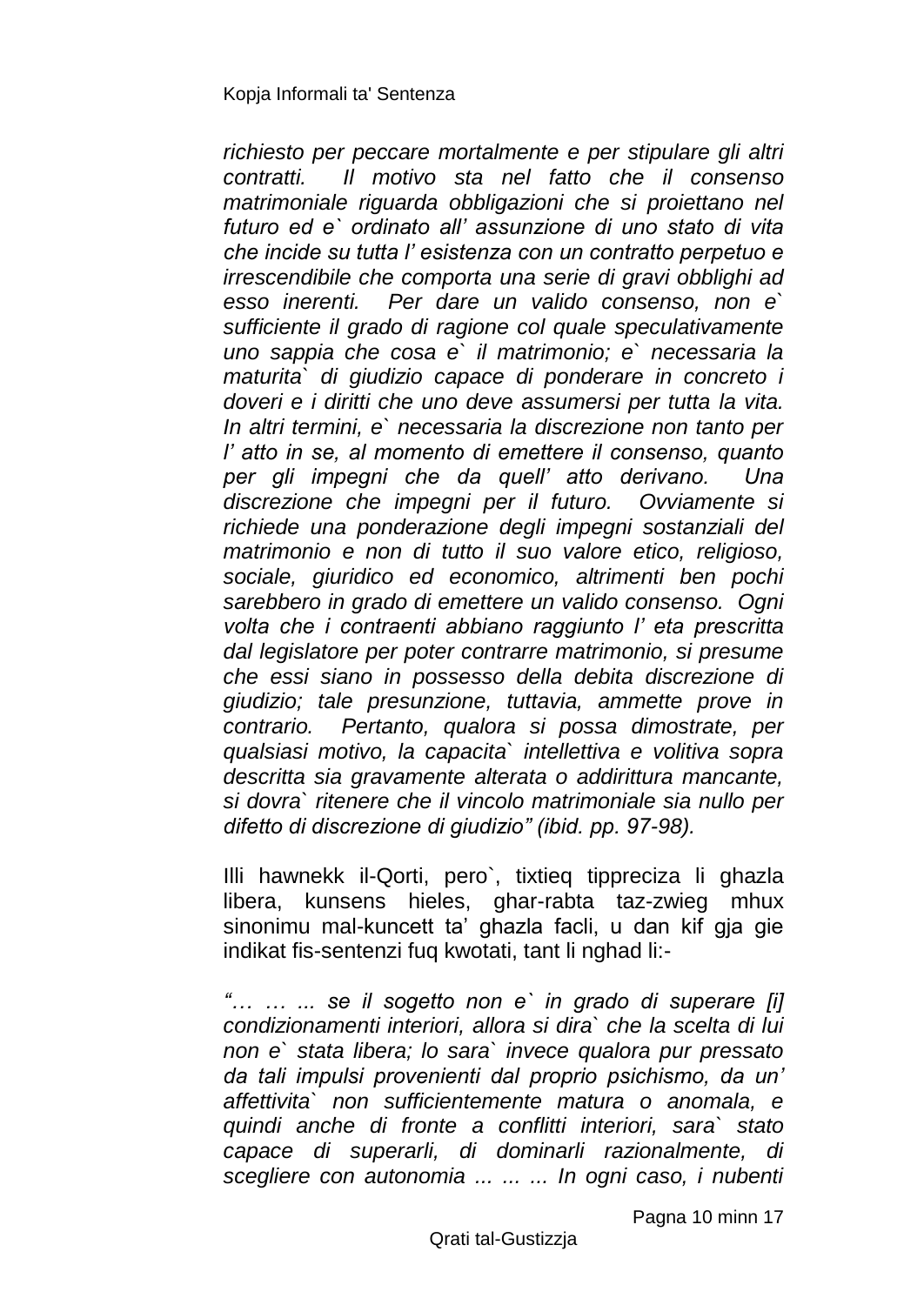*richiesto per peccare mortalmente e per stipulare gli altri contratti. Il motivo sta nel fatto che il consenso matrimoniale riguarda obbligazioni che si proiettano nel futuro ed e` ordinato all' assunzione di uno stato di vita che incide su tutta l' esistenza con un contratto perpetuo e irrescendibile che comporta una serie di gravi obblighi ad esso inerenti. Per dare un valido consenso, non e` sufficiente il grado di ragione col quale speculativamente uno sappia che cosa e` il matrimonio; e` necessaria la maturita` di giudizio capace di ponderare in concreto i doveri e i diritti che uno deve assumersi per tutta la vita. In altri termini, e` necessaria la discrezione non tanto per l' atto in se, al momento di emettere il consenso, quanto per gli impegni che da quell' atto derivano. Una discrezione che impegni per il futuro. Ovviamente si richiede una ponderazione degli impegni sostanziali del matrimonio e non di tutto il suo valore etico, religioso, sociale, giuridico ed economico, altrimenti ben pochi sarebbero in grado di emettere un valido consenso. Ogni volta che i contraenti abbiano raggiunto l' eta prescritta dal legislatore per poter contrarre matrimonio, si presume che essi siano in possesso della debita discrezione di giudizio; tale presunzione, tuttavia, ammette prove in contrario. Pertanto, qualora si possa dimostrate, per qualsiasi motivo, la capacita` intellettiva e volitiva sopra descritta sia gravamente alterata o addirittura mancante, si dovra` ritenere che il vincolo matrimoniale sia nullo per difetto di discrezione di giudizio" (ibid. pp. 97-98).*

Illi hawnekk il-Qorti, pero`, tixtieq tippreciza li ghazla libera, kunsens hieles, ghar-rabta taz-zwieg mhux sinonimu mal-kuncett ta' ghazla facli, u dan kif gja gie indikat fis-sentenzi fuq kwotati, tant li nghad li:-

*"… … ... se il sogetto non e` in grado di superare [i] condizionamenti interiori, allora si dira` che la scelta di lui non e` stata libera; lo sara` invece qualora pur pressato da tali impulsi provenienti dal proprio psichismo, da un' affettivita` non sufficientemente matura o anomala, e quindi anche di fronte a conflitti interiori, sara` stato capace di superarli, di dominarli razionalmente, di scegliere con autonomia ... ... ... In ogni caso, i nubenti*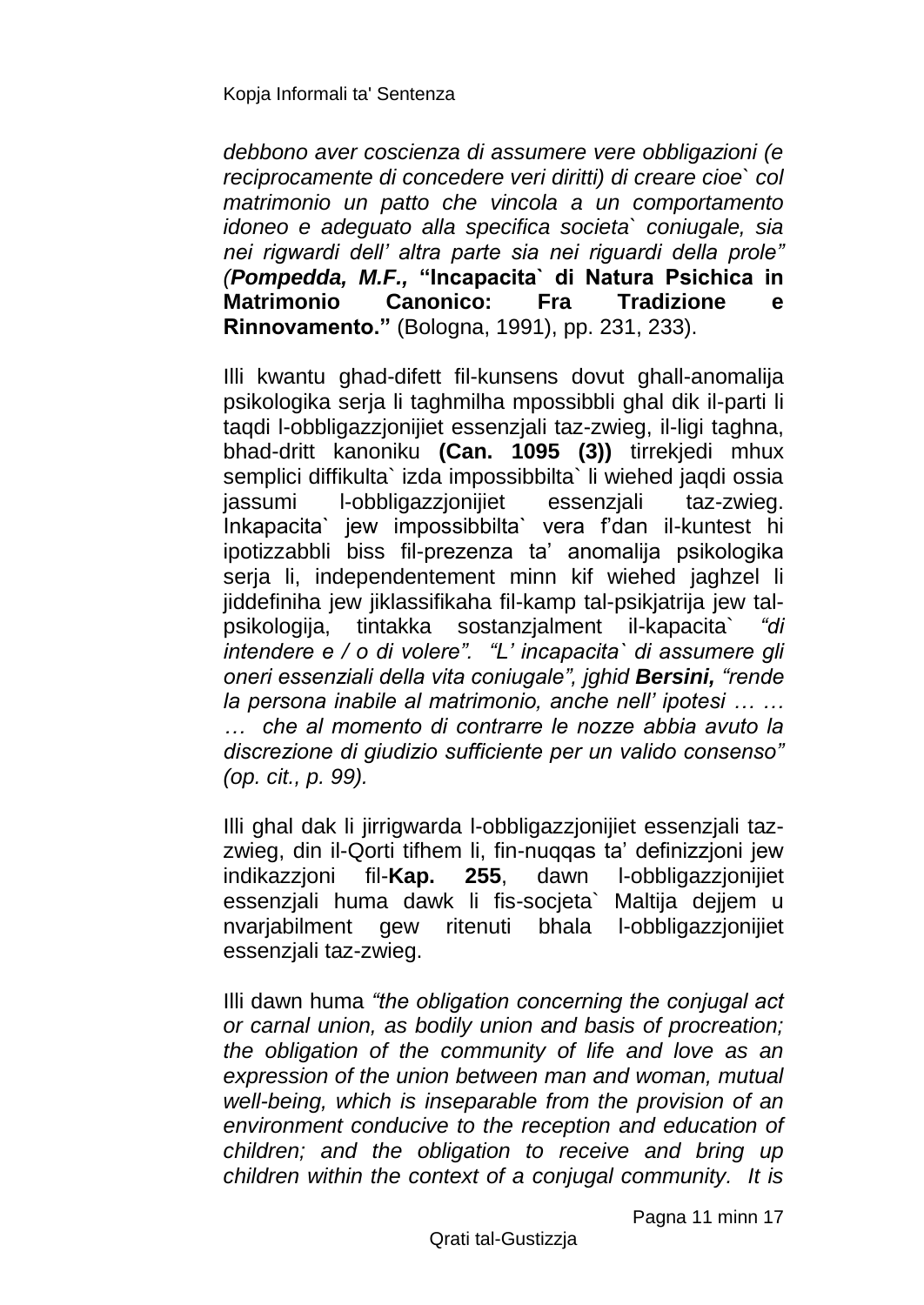*debbono aver coscienza di assumere vere obbligazioni (e reciprocamente di concedere veri diritti) di creare cioe` col matrimonio un patto che vincola a un comportamento idoneo e adeguato alla specifica societa` coniugale, sia nei rigwardi dell' altra parte sia nei riguardi della prole" (Pompedda, M.F.,* **"Incapacita` di Natura Psichica in Matrimonio Canonico: Fra Tradizione e Rinnovamento."** (Bologna, 1991), pp. 231, 233).

Illi kwantu ghad-difett fil-kunsens dovut ghall-anomalija psikologika serja li taghmilha mpossibbli ghal dik il-parti li taqdi l-obbligazzjonijiet essenzjali taz-zwieg, il-ligi taghna, bhad-dritt kanoniku **(Can. 1095 (3))** tirrekjedi mhux semplici diffikulta` izda impossibbilta` li wiehed jaqdi ossia jassumi l-obbligazzjonijiet essenzjali taz-zwieg. Inkapacita` jew impossibbilta` vera f'dan il-kuntest hi ipotizzabbli biss fil-prezenza ta' anomalija psikologika serja li, independentement minn kif wiehed jaghzel li jiddefiniha jew jiklassifikaha fil-kamp tal-psikjatrija jew talpsikologija, tintakka sostanzjalment il-kapacita` *"di intendere e / o di volere". "L' incapacita` di assumere gli oneri essenziali della vita coniugale", jghid Bersini, "rende la persona inabile al matrimonio, anche nell' ipotesi … … … che al momento di contrarre le nozze abbia avuto la discrezione di giudizio sufficiente per un valido consenso" (op. cit., p. 99).*

Illi ghal dak li jirrigwarda l-obbligazzjonijiet essenzjali tazzwieg, din il-Qorti tifhem li, fin-nuqqas ta' definizzjoni jew indikazzjoni fil-**Kap. 255**, dawn l-obbligazzjonijiet essenzjali huma dawk li fis-socjeta` Maltija dejjem u nvarjabilment gew ritenuti bhala l-obbligazzjonijiet essenzjali taz-zwieg.

Illi dawn huma *"the obligation concerning the conjugal act or carnal union, as bodily union and basis of procreation; the obligation of the community of life and love as an expression of the union between man and woman, mutual well-being, which is inseparable from the provision of an environment conducive to the reception and education of children; and the obligation to receive and bring up children within the context of a conjugal community. It is*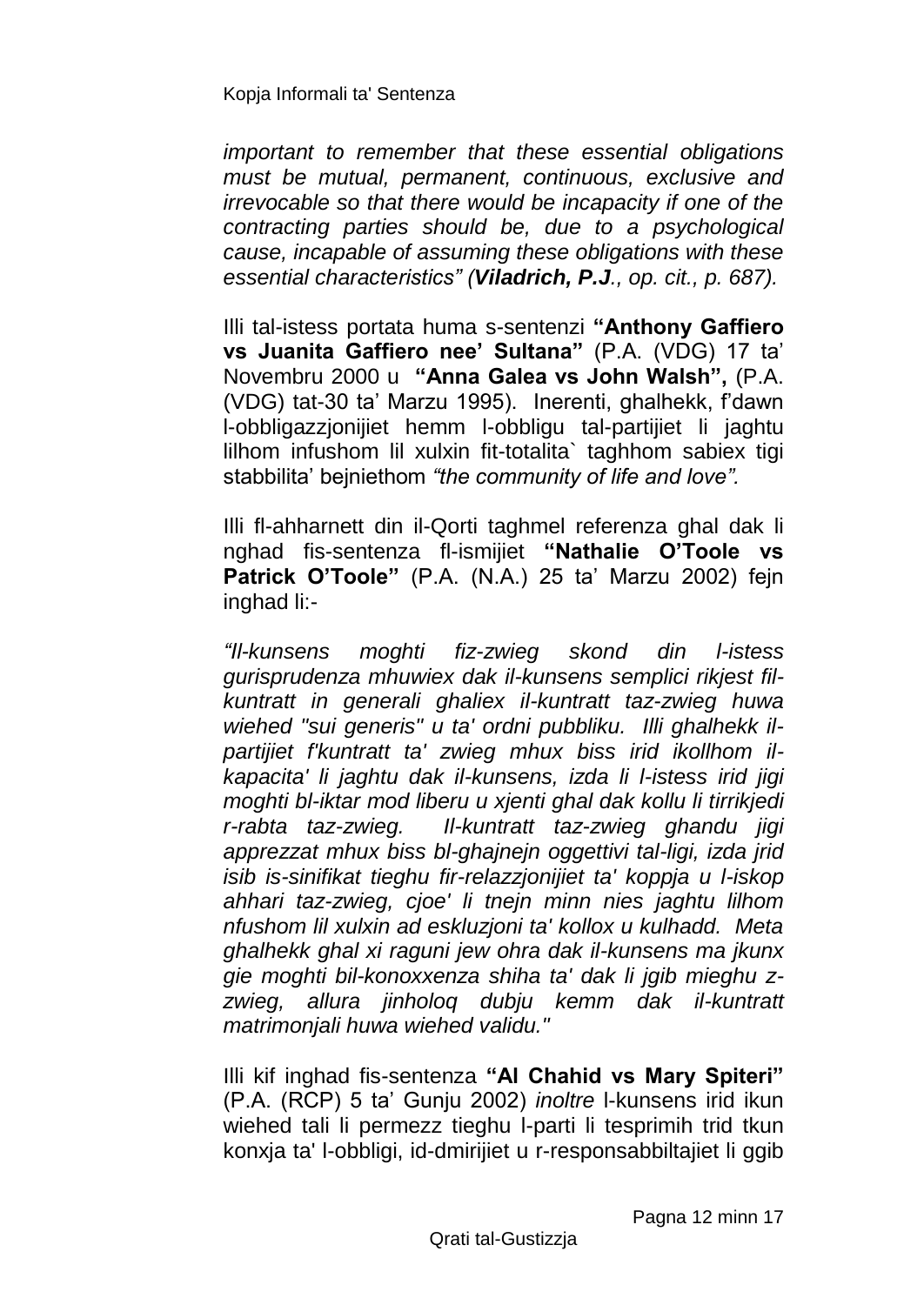*important to remember that these essential obligations must be mutual, permanent, continuous, exclusive and irrevocable so that there would be incapacity if one of the contracting parties should be, due to a psychological cause, incapable of assuming these obligations with these essential characteristics" (Viladrich, P.J., op. cit., p. 687).*

Illi tal-istess portata huma s-sentenzi **"Anthony Gaffiero vs Juanita Gaffiero nee' Sultana"** (P.A. (VDG) 17 ta' Novembru 2000 u **"Anna Galea vs John Walsh",** (P.A. (VDG) tat-30 ta' Marzu 1995). Inerenti, ghalhekk, f'dawn l-obbligazzjonijiet hemm l-obbligu tal-partijiet li jaghtu lilhom infushom lil xulxin fit-totalita` taghhom sabiex tigi stabbilita' bejniethom *"the community of life and love".*

Illi fl-ahharnett din il-Qorti taghmel referenza ghal dak li nghad fis-sentenza fl-ismijiet **"Nathalie O'Toole vs Patrick O'Toole"** (P.A. (N.A.) 25 ta' Marzu 2002) fejn inghad li:-

*"Il-kunsens moghti fiz-zwieg skond din l-istess gurisprudenza mhuwiex dak il-kunsens semplici rikjest filkuntratt in generali ghaliex il-kuntratt taz-zwieg huwa wiehed "sui generis" u ta' ordni pubbliku. Illi ghalhekk ilpartijiet f'kuntratt ta' zwieg mhux biss irid ikollhom ilkapacita' li jaghtu dak il-kunsens, izda li l-istess irid jigi moghti bl-iktar mod liberu u xjenti ghal dak kollu li tirrikjedi r-rabta taz-zwieg. Il-kuntratt taz-zwieg ghandu jigi apprezzat mhux biss bl-ghajnejn oggettivi tal-ligi, izda jrid isib is-sinifikat tieghu fir-relazzjonijiet ta' koppja u l-iskop ahhari taz-zwieg, cjoe' li tnejn minn nies jaghtu lilhom nfushom lil xulxin ad eskluzjoni ta' kollox u kulhadd. Meta ghalhekk ghal xi raguni jew ohra dak il-kunsens ma jkunx gie moghti bil-konoxxenza shiha ta' dak li jgib mieghu zzwieg, allura jinholoq dubju kemm dak il-kuntratt matrimonjali huwa wiehed validu."*

Illi kif inghad fis-sentenza **"Al Chahid vs Mary Spiteri"**  (P.A. (RCP) 5 ta' Gunju 2002) *inoltre* l-kunsens irid ikun wiehed tali li permezz tieghu l-parti li tesprimih trid tkun konxja ta' l-obbligi, id-dmirijiet u r-responsabbiltajiet li ggib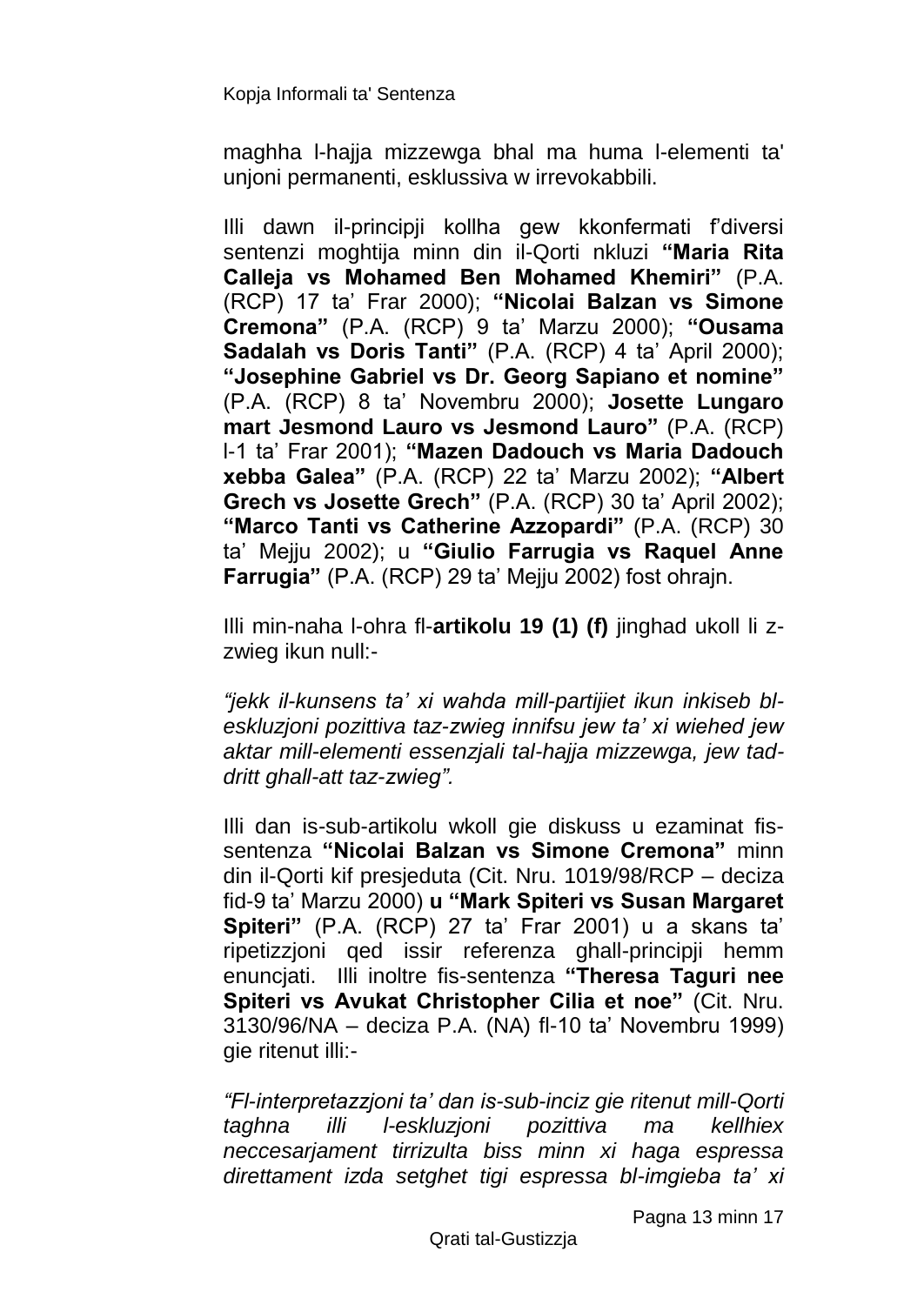maghha l-hajja mizzewga bhal ma huma l-elementi ta' unjoni permanenti, esklussiva w irrevokabbili.

Illi dawn il-principji kollha gew kkonfermati f'diversi sentenzi moghtija minn din il-Qorti nkluzi **"Maria Rita Calleja vs Mohamed Ben Mohamed Khemiri"** (P.A. (RCP) 17 ta' Frar 2000); **"Nicolai Balzan vs Simone Cremona"** (P.A. (RCP) 9 ta' Marzu 2000); **"Ousama Sadalah vs Doris Tanti"** (P.A. (RCP) 4 ta' April 2000); **"Josephine Gabriel vs Dr. Georg Sapiano et nomine"** (P.A. (RCP) 8 ta' Novembru 2000); **Josette Lungaro mart Jesmond Lauro vs Jesmond Lauro"** (P.A. (RCP) l-1 ta' Frar 2001); **"Mazen Dadouch vs Maria Dadouch xebba Galea"** (P.A. (RCP) 22 ta' Marzu 2002); **"Albert Grech vs Josette Grech"** (P.A. (RCP) 30 ta' April 2002); **"Marco Tanti vs Catherine Azzopardi"** (P.A. (RCP) 30 ta' Mejju 2002); u **"Giulio Farrugia vs Raquel Anne Farrugia"** (P.A. (RCP) 29 ta' Mejju 2002) fost ohrajn.

Illi min-naha l-ohra fl-**artikolu 19 (1) (f)** jinghad ukoll li zzwieg ikun null:-

*"jekk il-kunsens ta' xi wahda mill-partijiet ikun inkiseb bleskluzjoni pozittiva taz-zwieg innifsu jew ta' xi wiehed jew aktar mill-elementi essenzjali tal-hajja mizzewga, jew taddritt ghall-att taz-zwieg".*

Illi dan is-sub-artikolu wkoll gie diskuss u ezaminat fissentenza **"Nicolai Balzan vs Simone Cremona"** minn din il-Qorti kif presjeduta (Cit. Nru. 1019/98/RCP – deciza fid-9 ta' Marzu 2000) **u "Mark Spiteri vs Susan Margaret Spiteri"** (P.A. (RCP) 27 ta' Frar 2001) u a skans ta' ripetizzjoni qed issir referenza ghall-principji hemm enuncjati. Illi inoltre fis-sentenza **"Theresa Taguri nee Spiteri vs Avukat Christopher Cilia et noe"** (Cit. Nru. 3130/96/NA – deciza P.A. (NA) fl-10 ta' Novembru 1999) qie ritenut illi:-

*"Fl-interpretazzjoni ta' dan is-sub-inciz gie ritenut mill-Qorti taghna illi l-eskluzjoni pozittiva ma kellhiex neccesarjament tirrizulta biss minn xi haga espressa direttament izda setghet tigi espressa bl-imgieba ta' xi* 

Pagna 13 minn 17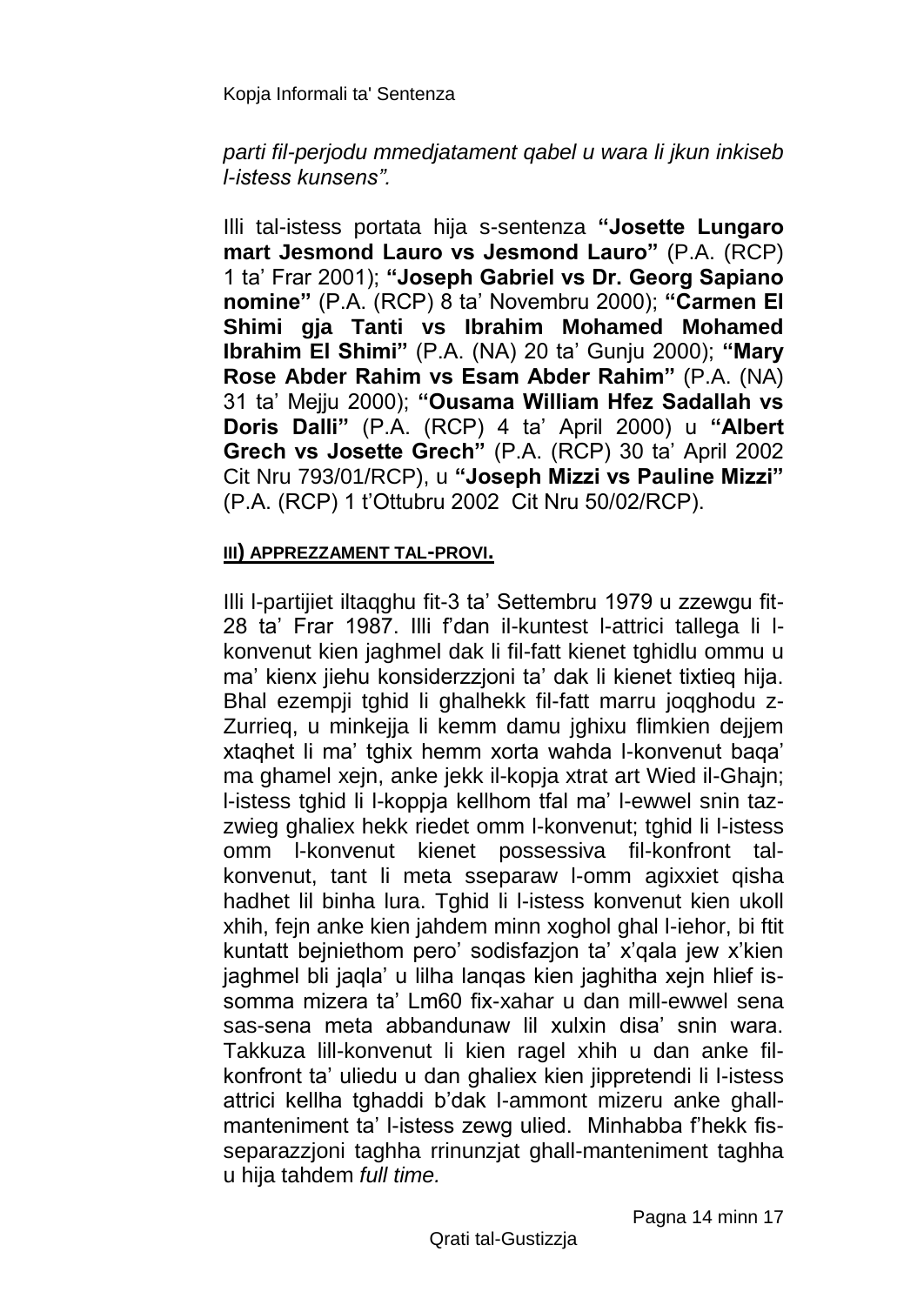### *parti fil-perjodu mmedjatament qabel u wara li jkun inkiseb l-istess kunsens".*

Illi tal-istess portata hija s-sentenza **"Josette Lungaro mart Jesmond Lauro vs Jesmond Lauro"** (P.A. (RCP) 1 ta' Frar 2001); **"Joseph Gabriel vs Dr. Georg Sapiano nomine"** (P.A. (RCP) 8 ta' Novembru 2000); **"Carmen El Shimi gja Tanti vs Ibrahim Mohamed Mohamed Ibrahim El Shimi"** (P.A. (NA) 20 ta' Gunju 2000); **"Mary Rose Abder Rahim vs Esam Abder Rahim"** (P.A. (NA) 31 ta' Mejju 2000); **"Ousama William Hfez Sadallah vs Doris Dalli"** (P.A. (RCP) 4 ta' April 2000) u **"Albert Grech vs Josette Grech"** (P.A. (RCP) 30 ta' April 2002 Cit Nru 793/01/RCP), u **"Joseph Mizzi vs Pauline Mizzi"**  (P.A. (RCP) 1 t'Ottubru 2002 Cit Nru 50/02/RCP).

### **III) APPREZZAMENT TAL-PROVI.**

Illi l-partijiet iltaqghu fit-3 ta' Settembru 1979 u zzewgu fit-28 ta' Frar 1987. Illi f'dan il-kuntest l-attrici tallega li lkonvenut kien jaghmel dak li fil-fatt kienet tghidlu ommu u ma' kienx jiehu konsiderzzjoni ta' dak li kienet tixtieq hija. Bhal ezempji tghid li ghalhekk fil-fatt marru joqghodu z-Zurrieq, u minkejja li kemm damu jghixu flimkien dejjem xtaqhet li ma' tghix hemm xorta wahda l-konvenut baqa' ma ghamel xejn, anke jekk il-kopja xtrat art Wied il-Ghajn; l-istess tghid li l-koppja kellhom tfal ma' l-ewwel snin tazzwieg ghaliex hekk riedet omm l-konvenut; tghid li l-istess omm l-konvenut kienet possessiva fil-konfront talkonvenut, tant li meta sseparaw l-omm agixxiet qisha hadhet lil binha lura. Tghid li l-istess konvenut kien ukoll xhih, fejn anke kien jahdem minn xoghol ghal l-iehor, bi ftit kuntatt bejniethom pero' sodisfazjon ta' x'qala jew x'kien jaghmel bli jaqla' u lilha lanqas kien jaghitha xejn hlief issomma mizera ta' Lm60 fix-xahar u dan mill-ewwel sena sas-sena meta abbandunaw lil xulxin disa' snin wara. Takkuza lill-konvenut li kien ragel xhih u dan anke filkonfront ta' uliedu u dan ghaliex kien jippretendi li l-istess attrici kellha tghaddi b'dak l-ammont mizeru anke ghallmanteniment ta' l-istess zewg ulied. Minhabba f'hekk fisseparazzjoni taghha rrinunzjat ghall-manteniment taghha u hija tahdem *full time.*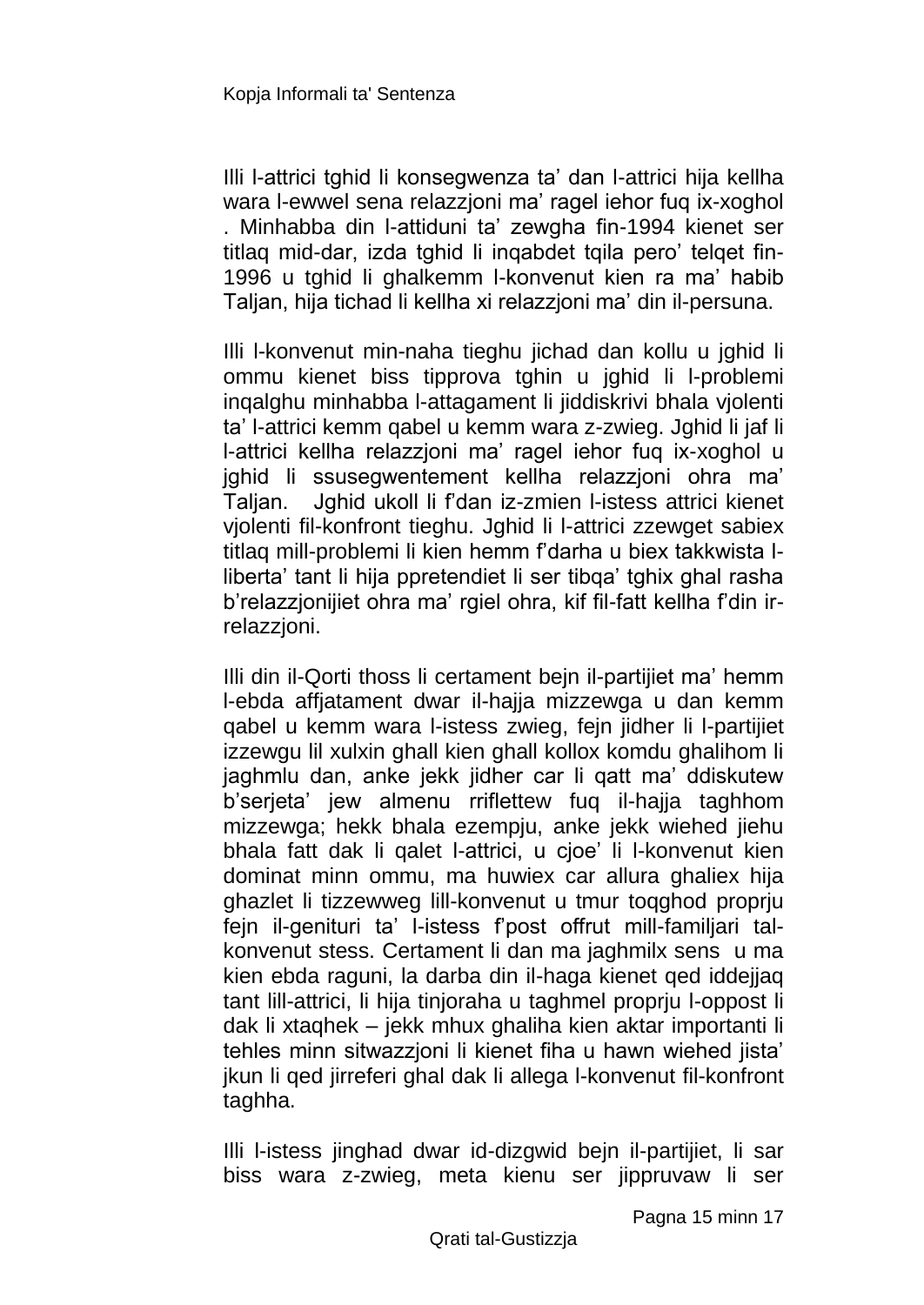Illi l-attrici tghid li konsegwenza ta' dan l-attrici hija kellha wara l-ewwel sena relazzjoni ma' ragel iehor fuq ix-xoghol . Minhabba din l-attiduni ta' zewgha fin-1994 kienet ser titlag mid-dar, izda tghid li ingabdet tgila pero' telget fin-1996 u tghid li ghalkemm l-konvenut kien ra ma' habib Taljan, hija tichad li kellha xi relazzjoni ma' din il-persuna.

Illi l-konvenut min-naha tieghu jichad dan kollu u jghid li ommu kienet biss tipprova tghin u jghid li l-problemi inqalghu minhabba l-attagament li jiddiskrivi bhala vjolenti ta' l-attrici kemm qabel u kemm wara z-zwieg. Jghid li jaf li l-attrici kellha relazzjoni ma' ragel iehor fuq ix-xoghol u jghid li ssusegwentement kellha relazzjoni ohra ma' Taljan. Jghid ukoll li f'dan iz-zmien l-istess attrici kienet vjolenti fil-konfront tieghu. Jghid li l-attrici zzewget sabiex titlaq mill-problemi li kien hemm f'darha u biex takkwista lliberta' tant li hija ppretendiet li ser tibqa' tghix ghal rasha b'relazzjonijiet ohra ma' rgiel ohra, kif fil-fatt kellha f'din irrelazzjoni.

Illi din il-Qorti thoss li certament bejn il-partijiet ma' hemm l-ebda affjatament dwar il-hajja mizzewga u dan kemm qabel u kemm wara l-istess zwieg, fejn jidher li l-partijiet izzewgu lil xulxin ghall kien ghall kollox komdu ghalihom li jaghmlu dan, anke jekk jidher car li qatt ma' ddiskutew b'serjeta' jew almenu rriflettew fuq il-hajja taghhom mizzewga; hekk bhala ezempju, anke jekk wiehed jiehu bhala fatt dak li qalet l-attrici, u cjoe' li l-konvenut kien dominat minn ommu, ma huwiex car allura ghaliex hija ghazlet li tizzewweg lill-konvenut u tmur toqghod proprju fejn il-genituri ta' l-istess f'post offrut mill-familjari talkonvenut stess. Certament li dan ma jaghmilx sens u ma kien ebda raguni, la darba din il-haga kienet qed iddejjaq tant lill-attrici, li hija tinjoraha u taghmel proprju l-oppost li dak li xtaqhek – jekk mhux ghaliha kien aktar importanti li tehles minn sitwazzjoni li kienet fiha u hawn wiehed jista' jkun li qed jirreferi ghal dak li allega l-konvenut fil-konfront taghha.

Illi l-istess jinghad dwar id-dizgwid bejn il-partijiet, li sar biss wara z-zwieg, meta kienu ser jippruvaw li ser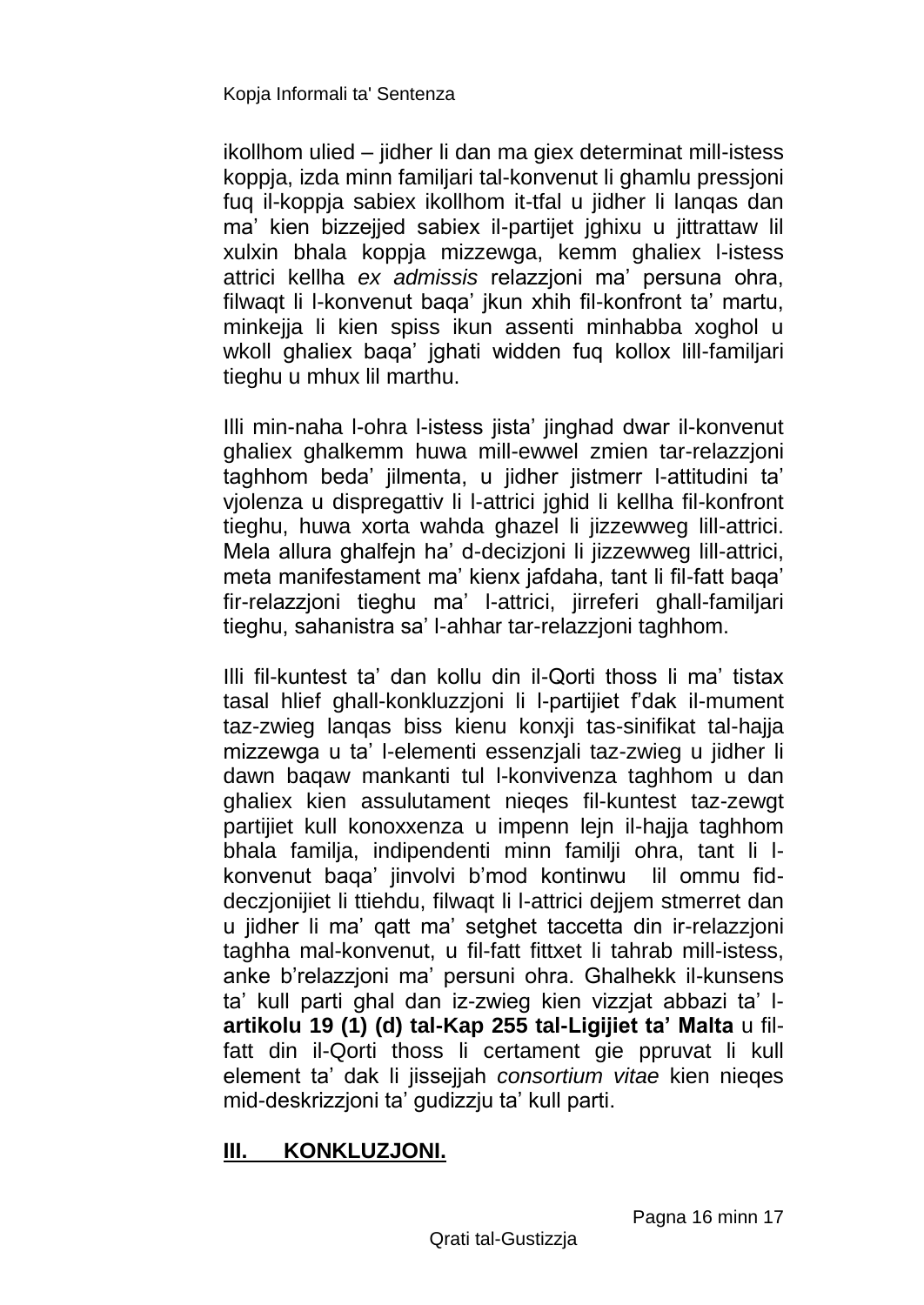ikollhom ulied – jidher li dan ma giex determinat mill-istess koppja, izda minn familjari tal-konvenut li ghamlu pressjoni fuq il-koppja sabiex ikollhom it-tfal u jidher li lanqas dan ma' kien bizzejjed sabiex il-partijet jghixu u jittrattaw lil xulxin bhala koppja mizzewga, kemm ghaliex l-istess attrici kellha *ex admissis* relazzjoni ma' persuna ohra, filwaqt li l-konvenut baqa' jkun xhih fil-konfront ta' martu, minkejja li kien spiss ikun assenti minhabba xoghol u wkoll ghaliex baqa' jghati widden fuq kollox lill-familjari tieghu u mhux lil marthu.

Illi min-naha l-ohra l-istess jista' jinghad dwar il-konvenut ghaliex ghalkemm huwa mill-ewwel zmien tar-relazzjoni taghhom beda' jilmenta, u jidher jistmerr l-attitudini ta' vjolenza u dispregattiv li l-attrici jghid li kellha fil-konfront tieghu, huwa xorta wahda ghazel li jizzewweg lill-attrici. Mela allura ghalfejn ha' d-decizjoni li jizzewweg lill-attrici, meta manifestament ma' kienx jafdaha, tant li fil-fatt baqa' fir-relazzjoni tieghu ma' l-attrici, jirreferi ghall-familjari tieghu, sahanistra sa' l-ahhar tar-relazzjoni taghhom.

Illi fil-kuntest ta' dan kollu din il-Qorti thoss li ma' tistax tasal hlief ghall-konkluzzjoni li l-partijiet f'dak il-mument taz-zwieg lanqas biss kienu konxji tas-sinifikat tal-hajja mizzewga u ta' l-elementi essenzjali taz-zwieg u jidher li dawn baqaw mankanti tul l-konvivenza taghhom u dan ghaliex kien assulutament nieqes fil-kuntest taz-zewgt partijiet kull konoxxenza u impenn lejn il-hajja taghhom bhala familja, indipendenti minn familji ohra, tant li lkonvenut baqa' jinvolvi b'mod kontinwu lil ommu fiddeczjonijiet li ttiehdu, filwaqt li l-attrici dejjem stmerret dan u jidher li ma' qatt ma' setghet taccetta din ir-relazzjoni taghha mal-konvenut, u fil-fatt fittxet li tahrab mill-istess, anke b'relazzjoni ma' persuni ohra. Ghalhekk il-kunsens ta' kull parti ghal dan iz-zwieg kien vizzjat abbazi ta' l**artikolu 19 (1) (d) tal-Kap 255 tal-Ligijiet ta' Malta** u filfatt din il-Qorti thoss li certament gie ppruvat li kull element ta' dak li jissejjah *consortium vitae* kien nieqes mid-deskrizzjoni ta' gudizzju ta' kull parti.

# **III. KONKLUZJONI.**